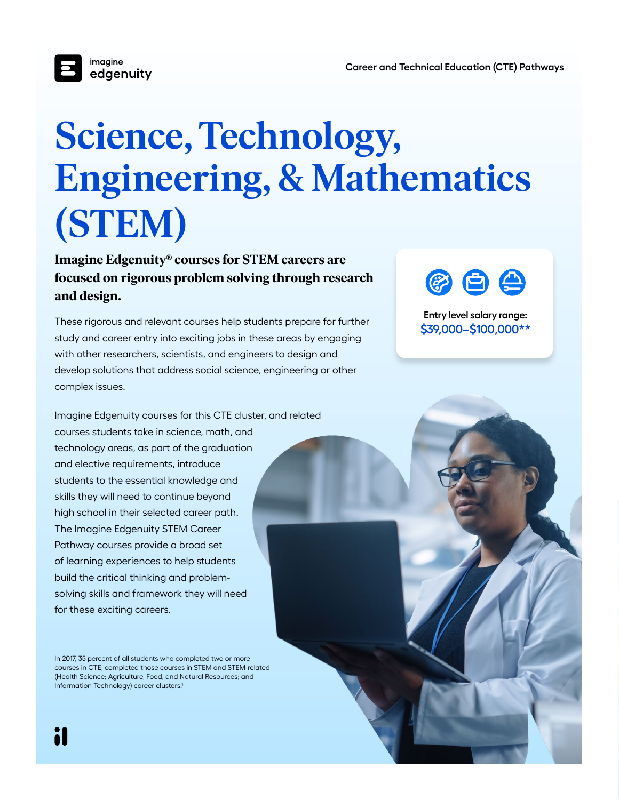

## **Science, Technology, Engineering, & Mathematics (STEM)**

**Imagine Edgenuity® courses for STEM careers are focused on rigorous problem solving through research and design.**

These rigorous and relevant courses help students prepare for further study and career entry into exciting jobs in these areas by engaging with other researchers, scientists, and engineers to design and develop solutions that address social science, engineering or other complex issues.

Imagine Edgenuity courses for this CTE cluster, and related courses students take in science, math, and technology areas, as part of the graduation and elective requirements, introduce students to the essential knowledge and skills they will need to continue beyond high school in their selected career path. The Imagine Edgenuity STEM Career Pathway courses provide a broad set of learning experiences to help students build the critical thinking and problemsolving skills and framework they will need for these exciting careers.

In 2017, 35 percent of all students who completed two or more courses in CTE, completed those courses in STEM and STEM-related (Health Science; Agriculture, Food, and Natural Resources; and Information Technology) career clusters.1

i



**Entry level salary range: \$39,000–\$100,000\*\***